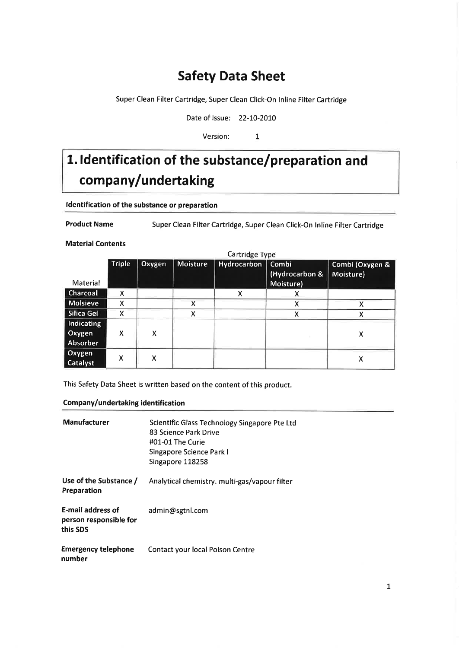### Safety Data Sheet

Super Clean Filter Cartridge, Super Clean Click-On lnline Filter Cartridge

Date of Issue: 22-10-2010

Version: 1

# 1. Identification of the substance/preparation and company/undertaking

### ldentification of the substance or preparation

Product Name Super Clean Filter Cartridge, Super Clean Click-On lnline Filter Cartridge

Material Contents

|                             | Cartridge Type |        |                 |             |                         |                              |
|-----------------------------|----------------|--------|-----------------|-------------|-------------------------|------------------------------|
|                             | <b>Triple</b>  | Oxygen | <b>Moisture</b> | Hydrocarbon | Combi<br>(Hydrocarbon & | Combi (Oxygen &<br>Moisture) |
| Material                    |                |        |                 |             | Moisture)               |                              |
| Charcoal                    | x              |        |                 | Χ           | х                       |                              |
| <b>Molsieve</b>             | x              |        | х               |             | х                       | x                            |
| Silica Gel                  | X              |        | x               |             | х                       |                              |
| <b>Indicating</b><br>Oxygen | X              | Χ      |                 |             |                         |                              |
| Absorber                    |                |        |                 |             |                         | x                            |
| Oxygen<br>Catalyst          | X              | X      |                 |             |                         | х                            |

This Safety Data Sheet is written based on the content of this product.

#### Company/undertaking identification

| <b>Manufacturer</b>                                            | Scientific Glass Technology Singapore Pte Ltd<br>83 Science Park Drive<br>#01-01 The Curie<br>Singapore Science Park I<br>Singapore 118258 |
|----------------------------------------------------------------|--------------------------------------------------------------------------------------------------------------------------------------------|
| Use of the Substance /<br>Preparation                          | Analytical chemistry. multi-gas/vapour filter                                                                                              |
| <b>E-mail address of</b><br>person responsible for<br>this SDS | admin@sgtnl.com                                                                                                                            |
| <b>Emergency telephone</b><br>number                           | Contact your local Poison Centre                                                                                                           |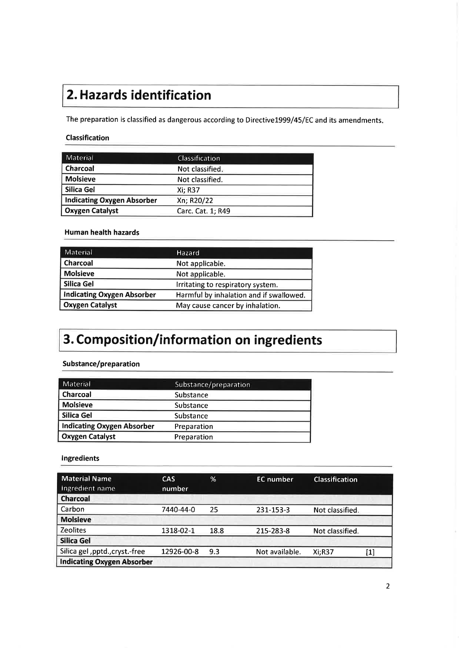## 2. Hazards identification

The preparation is classified as dangerous according to Directive1999/45/EC and its amendments

### Classification

| Material                          | Classification    |  |
|-----------------------------------|-------------------|--|
| <b>Charcoal</b>                   | Not classified.   |  |
| <b>Molsieve</b>                   | Not classified.   |  |
| Silica Gel                        | Xi: R37           |  |
| <b>Indicating Oxygen Absorber</b> | Xn; R20/22        |  |
| <b>Oxygen Catalyst</b>            | Carc. Cat. 1; R49 |  |

### Human health hazards

| <b>Material</b>                   | <b>Hazard</b>                           |
|-----------------------------------|-----------------------------------------|
| Charcoal                          | Not applicable.                         |
| <b>Molsieve</b>                   | Not applicable.                         |
| Silica Gel                        | Irritating to respiratory system.       |
| <b>Indicating Oxygen Absorber</b> | Harmful by inhalation and if swallowed. |
| <b>Oxygen Catalyst</b>            | May cause cancer by inhalation.         |

## 3. Composition/information on ingredients

### Substance/preparation

| <b>Material</b>                   | Substance/preparation |
|-----------------------------------|-----------------------|
| Charcoal                          | Substance             |
| <b>Molsieve</b>                   | Substance             |
| Silica Gel                        | Substance             |
| <b>Indicating Oxygen Absorber</b> | Preparation           |
| <b>Oxygen Catalyst</b>            | Preparation           |

#### lngredients

| Material Name<br>Ingredient name  | <b>CAS</b><br>number | %    | <b>EC</b> number | <b>Classification</b> |            |
|-----------------------------------|----------------------|------|------------------|-----------------------|------------|
| <b>Charcoal</b>                   |                      |      |                  |                       |            |
| Carbon                            | 7440-44-0            | 25   | 231-153-3        | Not classified.       |            |
| <b>Molsieve</b>                   |                      |      |                  |                       |            |
| <b>Zeolites</b>                   | 1318-02-1            | 18.8 | 215-283-8        | Not classified.       |            |
| <b>Silica Gel</b>                 |                      |      |                  |                       |            |
| Silica gel , pptd., cryst.-free   | 12926-00-8           | 9.3  | Not available.   | $Xi:$ R37             | $\bm{[1]}$ |
| <b>Indicating Oxygen Absorber</b> |                      |      |                  |                       |            |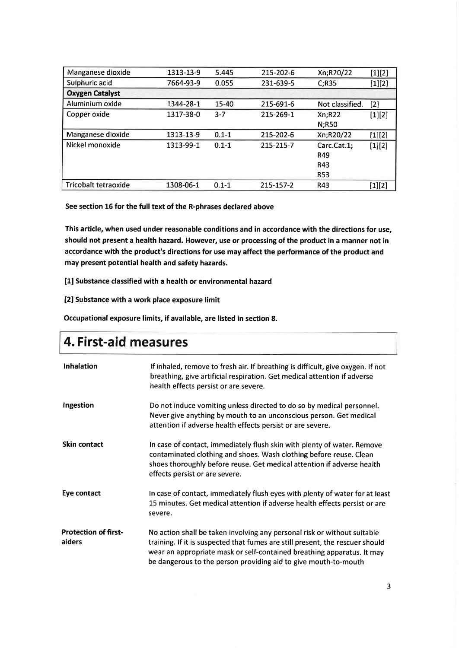| Manganese dioxide      | 1313-13-9 | 5.445     | 215-202-6 | Xn;R20/22       | $[1][2]$ |
|------------------------|-----------|-----------|-----------|-----------------|----------|
| Sulphuric acid         | 7664-93-9 | 0.055     | 231-639-5 | C; R35          | [1][2]   |
| <b>Oxygen Catalyst</b> |           |           |           |                 |          |
| Aluminium oxide        | 1344-28-1 | 15-40     | 215-691-6 | Not classified. | $[2]$    |
| Copper oxide           | 1317-38-0 | $3 - 7$   | 215-269-1 | Xn; R22         | $[1][2]$ |
|                        |           |           |           | N;R50           |          |
| Manganese dioxide      | 1313-13-9 | $0.1 - 1$ | 215-202-6 | Xn;R20/22       | $[1][2]$ |
| Nickel monoxide        | 1313-99-1 | $0.1 - 1$ | 215-215-7 | Carc.Cat.1;     | $[1][2]$ |
|                        |           |           |           | R49             |          |
|                        |           |           |           | R43             |          |
|                        |           |           |           | <b>R53</b>      |          |
| Tricobalt tetraoxide   | 1308-06-1 | $0.1 - 1$ | 215-157-2 | R43             | [1][2]   |

See section 16 for the full text of the R-phrases declared above

This article, when used under reasonable conditions and in accordance with the directions for use, should not present a health hazard. However, use or processing of the product in a manner not in accordance with the product's directions for use may affect the performance of the product and may present potential health and safety hazards.

[1] Substance classified with a health or environmental hazard

[2] Substance with a work place exposure limit

Occupational exposure limits, if available, are listed in section 8.

## 4. First-aid measures

| Inhalation                            | If inhaled, remove to fresh air. If breathing is difficult, give oxygen. If not<br>breathing, give artificial respiration. Get medical attention if adverse<br>health effects persist or are severe.                                                                                                   |
|---------------------------------------|--------------------------------------------------------------------------------------------------------------------------------------------------------------------------------------------------------------------------------------------------------------------------------------------------------|
| Ingestion                             | Do not induce vomiting unless directed to do so by medical personnel.<br>Never give anything by mouth to an unconscious person. Get medical<br>attention if adverse health effects persist or are severe.                                                                                              |
| <b>Skin contact</b>                   | In case of contact, immediately flush skin with plenty of water. Remove<br>contaminated clothing and shoes. Wash clothing before reuse. Clean<br>shoes thoroughly before reuse. Get medical attention if adverse health<br>effects persist or are severe.                                              |
| Eye contact                           | In case of contact, immediately flush eyes with plenty of water for at least<br>15 minutes. Get medical attention if adverse health effects persist or are<br>severe.                                                                                                                                  |
| <b>Protection of first-</b><br>aiders | No action shall be taken involving any personal risk or without suitable<br>training. If it is suspected that fumes are still present, the rescuer should<br>wear an appropriate mask or self-contained breathing apparatus. It may<br>be dangerous to the person providing aid to give mouth-to-mouth |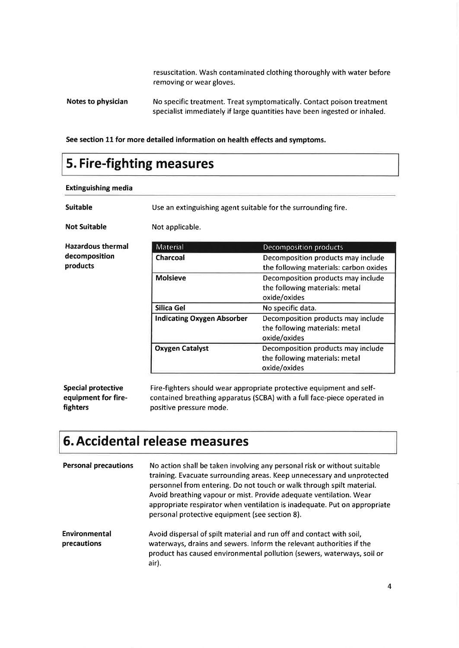resuscitation. Wash contaminated clothing thoroughly with water before removing or wear gloves.

See section 11 for more detailed information on health effects and symptoms.

### 5. Fire-fighting measures

| <b>Extinguishing media</b>                       |                                                               |                                                                                                                                                 |  |
|--------------------------------------------------|---------------------------------------------------------------|-------------------------------------------------------------------------------------------------------------------------------------------------|--|
| <b>Suitable</b>                                  | Use an extinguishing agent suitable for the surrounding fire. |                                                                                                                                                 |  |
| <b>Not Suitable</b>                              | Not applicable.                                               |                                                                                                                                                 |  |
| <b>Hazardous thermal</b>                         | Material                                                      | Decomposition products                                                                                                                          |  |
| decomposition<br>products                        | Charcoal                                                      | Decomposition products may include<br>the following materials: carbon oxides                                                                    |  |
|                                                  | <b>Molsieve</b>                                               | Decomposition products may include<br>the following materials: metal<br>oxide/oxides                                                            |  |
|                                                  | Silica Gel                                                    | No specific data.                                                                                                                               |  |
|                                                  | <b>Indicating Oxygen Absorber</b>                             | Decomposition products may include<br>the following materials: metal<br>oxide/oxides                                                            |  |
|                                                  | <b>Oxygen Catalyst</b>                                        | Decomposition products may include<br>the following materials: metal<br>oxide/oxides                                                            |  |
| <b>Special protective</b><br>equipment for fire- |                                                               | Fire-fighters should wear appropriate protective equipment and self-<br>contained breathing apparatus (SCBA) with a full face-piece operated in |  |

### 6. Accidental release measures

positive pressure mode.

fighters

| <b>Personal precautions</b>  | No action shall be taken involving any personal risk or without suitable<br>training. Evacuate surrounding areas. Keep unnecessary and unprotected<br>personnel from entering. Do not touch or walk through spilt material.<br>Avoid breathing vapour or mist. Provide adequate ventilation. Wear<br>appropriate respirator when ventilation is inadequate. Put on appropriate<br>personal protective equipment (see section 8). |
|------------------------------|----------------------------------------------------------------------------------------------------------------------------------------------------------------------------------------------------------------------------------------------------------------------------------------------------------------------------------------------------------------------------------------------------------------------------------|
| Environmental<br>precautions | Avoid dispersal of spilt material and run off and contact with soil,<br>waterways, drains and sewers. Inform the relevant authorities if the<br>product has caused environmental pollution (sewers, waterways, soil or<br>air).                                                                                                                                                                                                  |

Notes to physician No specific treatment. Treat symptomatically. Contact poison treatment specialist immediately if large quantities have been ingested or inhaled.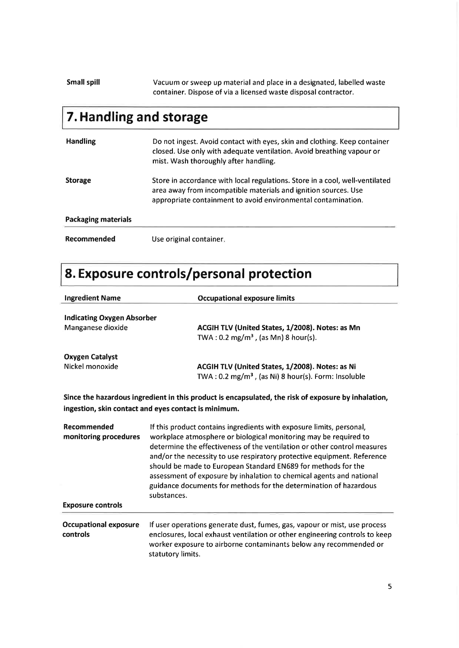### Small spill Vacuum or sweep up material and place in a designated, labelled waste container. Dispose of via a licensed waste disposal contractor.

## 7. Handling and storage

| <b>Handling</b>            | Do not ingest. Avoid contact with eyes, skin and clothing. Keep container<br>closed. Use only with adequate ventilation. Avoid breathing vapour or<br>mist. Wash thoroughly after handling.                      |
|----------------------------|------------------------------------------------------------------------------------------------------------------------------------------------------------------------------------------------------------------|
| <b>Storage</b>             | Store in accordance with local regulations. Store in a cool, well-ventilated<br>area away from incompatible materials and ignition sources. Use<br>appropriate containment to avoid environmental contamination. |
| <b>Packaging materials</b> |                                                                                                                                                                                                                  |
| Recommended                | Use original container.                                                                                                                                                                                          |

# 8. Exposure controls/personal protection

| <b>Ingredient Name</b>                                           | <b>Occupational exposure limits</b>                                                                                                                                                                                                                                                                                                                                                                                                                                                                                          |  |
|------------------------------------------------------------------|------------------------------------------------------------------------------------------------------------------------------------------------------------------------------------------------------------------------------------------------------------------------------------------------------------------------------------------------------------------------------------------------------------------------------------------------------------------------------------------------------------------------------|--|
| <b>Indicating Oxygen Absorber</b><br>Manganese dioxide           | ACGIH TLV (United States, 1/2008). Notes: as Mn<br>TWA: $0.2 \text{ mg/m}^3$ , (as Mn) 8 hour(s).                                                                                                                                                                                                                                                                                                                                                                                                                            |  |
| <b>Oxygen Catalyst</b><br>Nickel monoxide                        | ACGIH TLV (United States, 1/2008). Notes: as Ni<br>TWA: $0.2 \text{ mg/m}^3$ , (as Ni) 8 hour(s). Form: Insoluble                                                                                                                                                                                                                                                                                                                                                                                                            |  |
|                                                                  | Since the hazardous ingredient in this product is encapsulated, the risk of exposure by inhalation,<br>ingestion, skin contact and eyes contact is minimum.                                                                                                                                                                                                                                                                                                                                                                  |  |
| Recommended<br>monitoring procedures<br><b>Exposure controls</b> | If this product contains ingredients with exposure limits, personal,<br>workplace atmosphere or biological monitoring may be required to<br>determine the effectiveness of the ventilation or other control measures<br>and/or the necessity to use respiratory protective equipment. Reference<br>should be made to European Standard EN689 for methods for the<br>assessment of exposure by inhalation to chemical agents and national<br>guidance documents for methods for the determination of hazardous<br>substances. |  |
| <b>Occupational exposure</b><br>controls                         | If user operations generate dust, fumes, gas, vapour or mist, use process<br>enclosures, local exhaust ventilation or other engineering controls to keep<br>worker exposure to airborne contaminants below any recommended or<br>statutory limits.                                                                                                                                                                                                                                                                           |  |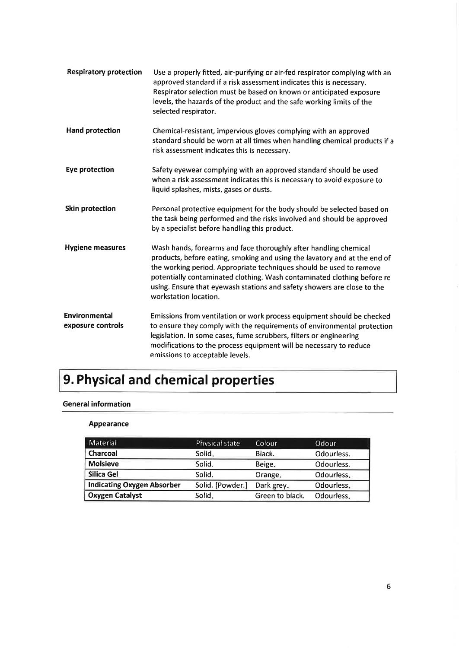| <b>Respiratory protection</b>             | Use a properly fitted, air-purifying or air-fed respirator complying with an<br>approved standard if a risk assessment indicates this is necessary.<br>Respirator selection must be based on known or anticipated exposure<br>levels, the hazards of the product and the safe working limits of the<br>selected respirator.                                                                         |
|-------------------------------------------|-----------------------------------------------------------------------------------------------------------------------------------------------------------------------------------------------------------------------------------------------------------------------------------------------------------------------------------------------------------------------------------------------------|
| <b>Hand protection</b>                    | Chemical-resistant, impervious gloves complying with an approved<br>standard should be worn at all times when handling chemical products if a<br>risk assessment indicates this is necessary.                                                                                                                                                                                                       |
| <b>Eye protection</b>                     | Safety eyewear complying with an approved standard should be used<br>when a risk assessment indicates this is necessary to avoid exposure to<br>liquid splashes, mists, gases or dusts.                                                                                                                                                                                                             |
| <b>Skin protection</b>                    | Personal protective equipment for the body should be selected based on<br>the task being performed and the risks involved and should be approved<br>by a specialist before handling this product.                                                                                                                                                                                                   |
| <b>Hygiene measures</b>                   | Wash hands, forearms and face thoroughly after handling chemical<br>products, before eating, smoking and using the lavatory and at the end of<br>the working period. Appropriate techniques should be used to remove<br>potentially contaminated clothing. Wash contaminated clothing before re<br>using. Ensure that eyewash stations and safety showers are close to the<br>workstation location. |
| <b>Environmental</b><br>exposure controls | Emissions from ventilation or work process equipment should be checked<br>to ensure they comply with the requirements of environmental protection<br>legislation. In some cases, fume scrubbers, filters or engineering<br>modifications to the process equipment will be necessary to reduce<br>emissions to acceptable levels.                                                                    |

# 9. Physical and chemical properties

### General information

### Appearance

| Material                          | Physical state   | Colour          | Odour      |
|-----------------------------------|------------------|-----------------|------------|
| Charcoal                          | Solid.           | Black.          | Odourless. |
| <b>Molsieve</b>                   | Solid.           | Beige.          | Odourless. |
| Silica Gel                        | Solid.           | Orange.         | Odourless. |
| <b>Indicating Oxygen Absorber</b> | Solid. [Powder.] | Dark grey.      | Odourless. |
| <b>Oxygen Catalyst</b>            | Solid.           | Green to black. | Odourless. |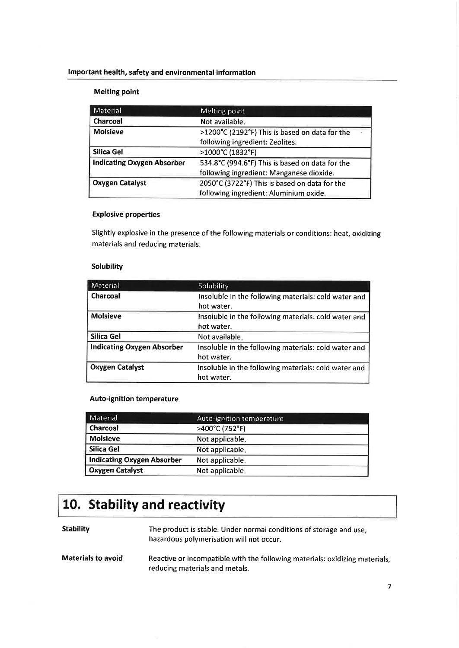### lmportant health, safety and environmental information

### Melting point

| Material                          | Melting point                                   |  |
|-----------------------------------|-------------------------------------------------|--|
| Charcoal                          | Not available.                                  |  |
| <b>Molsieve</b>                   | >1200°C (2192°F) This is based on data for the  |  |
|                                   | following ingredient: Zeolites.                 |  |
| Silica Gel                        | >1000°C (1832°F)                                |  |
| <b>Indicating Oxygen Absorber</b> | 534.8°C (994.6°F) This is based on data for the |  |
|                                   | following ingredient: Manganese dioxide.        |  |
| <b>Oxygen Catalyst</b>            | 2050°C (3722°F) This is based on data for the   |  |
|                                   | following ingredient: Aluminium oxide.          |  |

#### Explosive properties

Slightly explosive in the presence of the following materials or conditions: heat, oxidizing materials and reducing materials.

#### **Solubility**

| Material                          | Solubility                                           |
|-----------------------------------|------------------------------------------------------|
| Charcoal                          | Insoluble in the following materials: cold water and |
|                                   | hot water.                                           |
| <b>Molsieve</b>                   | Insoluble in the following materials: cold water and |
|                                   | hot water.                                           |
| Silica Gel                        | Not available.                                       |
| <b>Indicating Oxygen Absorber</b> | Insoluble in the following materials: cold water and |
|                                   | hot water.                                           |
| <b>Oxygen Catalyst</b>            | Insoluble in the following materials: cold water and |
|                                   | hot water.                                           |

### Auto-ignition temperature

| Material                          | Auto-ignition temperature |
|-----------------------------------|---------------------------|
| <b>Charcoal</b>                   | >400°C (752°F)            |
| <b>Molsieve</b>                   | Not applicable.           |
| Silica Gel                        | Not applicable.           |
| <b>Indicating Oxygen Absorber</b> | Not applicable.           |
| <b>Oxygen Catalyst</b>            | Not applicable.           |

### 10. Stability and reactivity

Stability The product is stable. Under normal conditions of storage and use, hazardous polymerisation will not occur.

Reactive or incompatible with the following materials: oxidizing materials, reducing materials and metals. Materials to avoid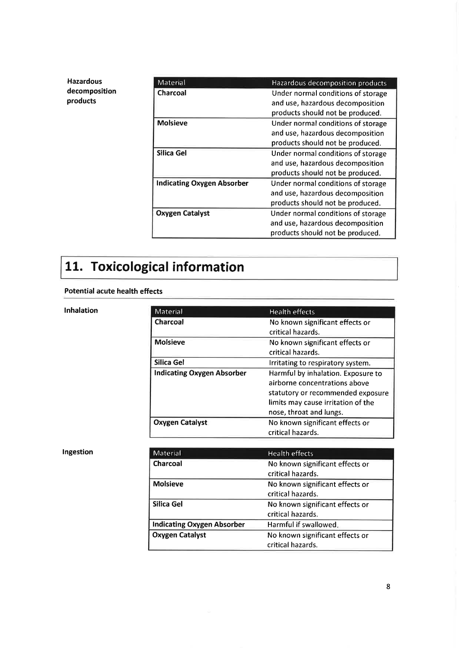| <b>Hazardous</b> | Material                          | Hazardous decomposition products   |
|------------------|-----------------------------------|------------------------------------|
| decomposition    | Charcoal                          | Under normal conditions of storage |
| products         |                                   | and use, hazardous decomposition   |
|                  |                                   | products should not be produced.   |
|                  | <b>Molsieve</b>                   | Under normal conditions of storage |
|                  |                                   | and use, hazardous decomposition   |
|                  |                                   | products should not be produced.   |
|                  | Silica Gel                        | Under normal conditions of storage |
|                  |                                   | and use, hazardous decomposition   |
|                  |                                   | products should not be produced.   |
|                  | <b>Indicating Oxygen Absorber</b> | Under normal conditions of storage |
|                  |                                   | and use, hazardous decomposition   |
|                  |                                   | products should not be produced.   |
|                  | <b>Oxygen Catalyst</b>            | Under normal conditions of storage |
|                  |                                   | and use, hazardous decomposition   |
|                  |                                   | products should not be produced.   |

# 11. Toxicological information

### Potential acute health effects

### lnhalation

| Material                          | <b>Health effects</b>              |
|-----------------------------------|------------------------------------|
| Charcoal                          | No known significant effects or    |
|                                   | critical hazards.                  |
| <b>Molsieve</b>                   | No known significant effects or    |
|                                   | critical hazards.                  |
| Silica Gel                        | Irritating to respiratory system.  |
| <b>Indicating Oxygen Absorber</b> | Harmful by inhalation. Exposure to |
|                                   | airborne concentrations above      |
|                                   | statutory or recommended exposure  |
|                                   | limits may cause irritation of the |
|                                   | nose, throat and lungs.            |
| <b>Oxygen Catalyst</b>            | No known significant effects or    |
|                                   | critical hazards.                  |

### Ingestion

| Material                          | <b>Health effects</b>           |
|-----------------------------------|---------------------------------|
| <b>Charcoal</b>                   | No known significant effects or |
|                                   | critical hazards.               |
| <b>Molsieve</b>                   | No known significant effects or |
|                                   | critical hazards.               |
| Silica Gel                        | No known significant effects or |
|                                   | critical hazards.               |
| <b>Indicating Oxygen Absorber</b> | Harmful if swallowed.           |
| <b>Oxygen Catalyst</b>            | No known significant effects or |
|                                   | critical hazards.               |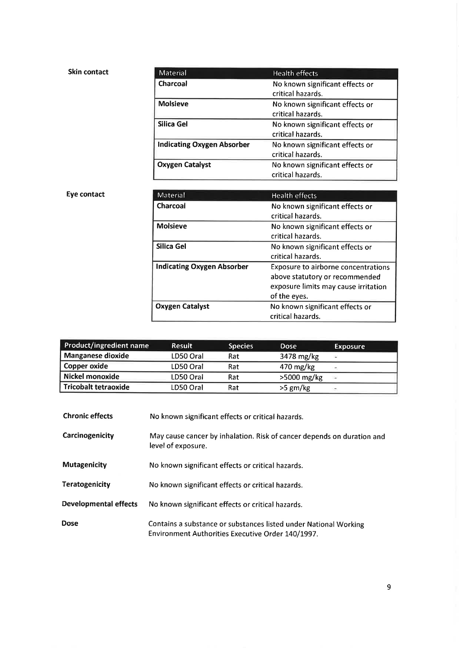| <b>Skin contact</b> | <b>Material</b>                   | <b>Health effects</b>                                |
|---------------------|-----------------------------------|------------------------------------------------------|
|                     | Charcoal                          | No known significant effects or<br>critical hazards. |
|                     | <b>Molsieve</b>                   | No known significant effects or<br>critical hazards. |
|                     | Silica Gel                        | No known significant effects or<br>critical hazards. |
|                     | <b>Indicating Oxygen Absorber</b> | No known significant effects or<br>critical hazards. |
|                     | <b>Oxygen Catalyst</b>            | No known significant effects or<br>critical hazards. |

### Eye contact

| <b>Material</b>                   | <b>Health effects</b>                                                                                                         |
|-----------------------------------|-------------------------------------------------------------------------------------------------------------------------------|
| Charcoal                          | No known significant effects or<br>critical hazards.                                                                          |
| <b>Molsieve</b>                   | No known significant effects or<br>critical hazards.                                                                          |
| Silica Gel                        | No known significant effects or<br>critical hazards.                                                                          |
| <b>Indicating Oxygen Absorber</b> | Exposure to airborne concentrations<br>above statutory or recommended<br>exposure limits may cause irritation<br>of the eyes. |
| <b>Oxygen Catalyst</b>            | No known significant effects or<br>critical hazards.                                                                          |

| Product/ingredient name     | <b>Result</b> | <b>Species</b> | <b>Dose</b>         | <b>Exposure</b> |
|-----------------------------|---------------|----------------|---------------------|-----------------|
| Manganese dioxide           | LD50 Oral     | Rat            | 3478 mg/kg          | ÷               |
| Copper oxide                | LD50 Oral     | Rat            | $470 \text{ mg/kg}$ |                 |
| Nickel monoxide             | LD50 Oral     | Rat            | >5000 mg/kg         | 1000            |
| <b>Tricobalt tetraoxide</b> | LD50 Oral     | Rat            | $>5$ gm/kg          |                 |

| <b>Chronic effects</b>       | No known significant effects or critical hazards.                                                                     |
|------------------------------|-----------------------------------------------------------------------------------------------------------------------|
| Carcinogenicity              | May cause cancer by inhalation. Risk of cancer depends on duration and<br>level of exposure.                          |
| <b>Mutagenicity</b>          | No known significant effects or critical hazards.                                                                     |
| Teratogenicity               | No known significant effects or critical hazards.                                                                     |
| <b>Developmental effects</b> | No known significant effects or critical hazards.                                                                     |
| <b>Dose</b>                  | Contains a substance or substances listed under National Working<br>Environment Authorities Executive Order 140/1997. |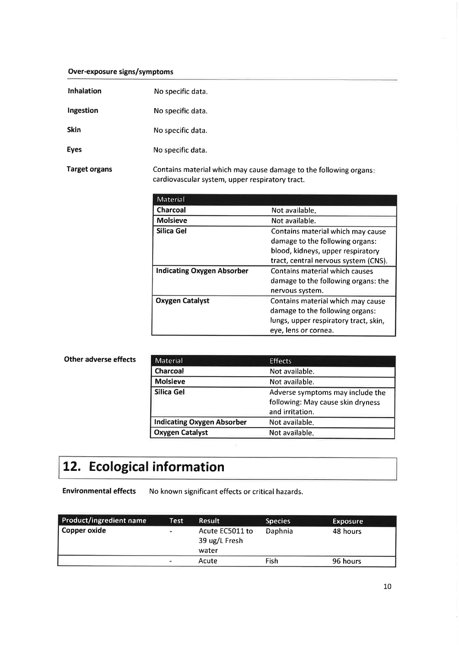### Over-exposure signs/symptoms

| Inhalation           | No specific data.                                                                                                    |
|----------------------|----------------------------------------------------------------------------------------------------------------------|
| Ingestion            | No specific data.                                                                                                    |
| <b>Skin</b>          | No specific data.                                                                                                    |
| <b>Eyes</b>          | No specific data.                                                                                                    |
| <b>Target organs</b> | Contains material which may cause damage to the following organs:<br>cardiovascular system, upper respiratory tract. |

| Material                          |                                       |
|-----------------------------------|---------------------------------------|
| <b>Charcoal</b>                   | Not available.                        |
| <b>Molsieve</b>                   | Not available.                        |
| Silica Gel                        | Contains material which may cause     |
|                                   | damage to the following organs:       |
|                                   | blood, kidneys, upper respiratory     |
|                                   | tract, central nervous system (CNS).  |
| <b>Indicating Oxygen Absorber</b> | Contains material which causes        |
|                                   | damage to the following organs: the   |
|                                   | nervous system.                       |
| <b>Oxygen Catalyst</b>            | Contains material which may cause     |
|                                   | damage to the following organs:       |
|                                   | lungs, upper respiratory tract, skin, |
|                                   | eye, lens or cornea.                  |

| Other adverse effects | <b>Material</b>                   | <b>Effects</b>                    |
|-----------------------|-----------------------------------|-----------------------------------|
|                       | Charcoal                          | Not available.                    |
|                       | <b>Molsieve</b>                   | Not available.                    |
|                       | Silica Gel                        | Adverse symptoms may include the  |
|                       |                                   | following: May cause skin dryness |
|                       |                                   | and irritation.                   |
|                       | <b>Indicating Oxygen Absorber</b> | Not available.                    |
|                       | <b>Oxygen Catalyst</b>            | Not available.                    |
|                       |                                   |                                   |

# 12. Ecological information

Environmental effects No known significant effects or critical hazards.

| <b>Product/ingredient name</b> | Test     | <b>Result</b>                             | <b>Species</b> | Exposure |
|--------------------------------|----------|-------------------------------------------|----------------|----------|
| Copper oxide                   | $\equiv$ | Acute EC5011 to<br>39 ug/L Fresh<br>water | Daphnia        | 48 hours |
|                                | ÷        | Acute                                     | Fish           | 96 hours |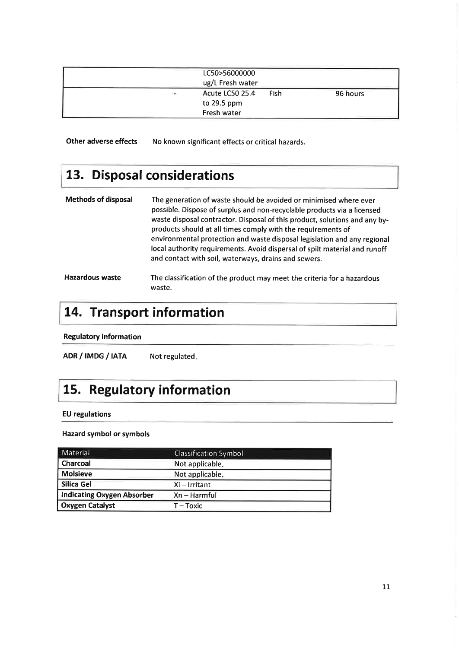|      | LC50>56000000    |             |          |
|------|------------------|-------------|----------|
|      | ug/L Fresh water |             |          |
| Card | Acute LC50 25.4  | <b>Fish</b> | 96 hours |
|      | to $29.5$ ppm    |             |          |
|      | Fresh water      |             |          |

Other adverse effects No known significant effects or critical hazards.

## 13. Disposal considerations

| <b>Methods of disposal</b> | The generation of waste should be avoided or minimised where ever<br>possible. Dispose of surplus and non-recyclable products via a licensed<br>waste disposal contractor. Disposal of this product, solutions and any by-<br>products should at all times comply with the requirements of<br>environmental protection and waste disposal legislation and any regional<br>local authority requirements. Avoid dispersal of spilt material and runoff<br>and contact with soil, waterways, drains and sewers. |
|----------------------------|--------------------------------------------------------------------------------------------------------------------------------------------------------------------------------------------------------------------------------------------------------------------------------------------------------------------------------------------------------------------------------------------------------------------------------------------------------------------------------------------------------------|
| <b>Hazardous waste</b>     | The classification of the product may meet the criteria for a hazardous                                                                                                                                                                                                                                                                                                                                                                                                                                      |

### 14. Transport information

waste.

Regulatory information

ADR / IMDG / IATA Not regulated.

## 15. Regulatory information

### EU regulations

#### Hazard symbol or symbols

| Material                          | <b>Classification Symbol</b> |
|-----------------------------------|------------------------------|
| Charcoal                          | Not applicable.              |
| <b>Molsieve</b>                   | Not applicable.              |
| Silica Gel                        | $Xi$ - Irritant              |
| <b>Indicating Oxygen Absorber</b> | $Xn - Harmful$               |
| <b>Oxygen Catalyst</b>            | T – Toxic                    |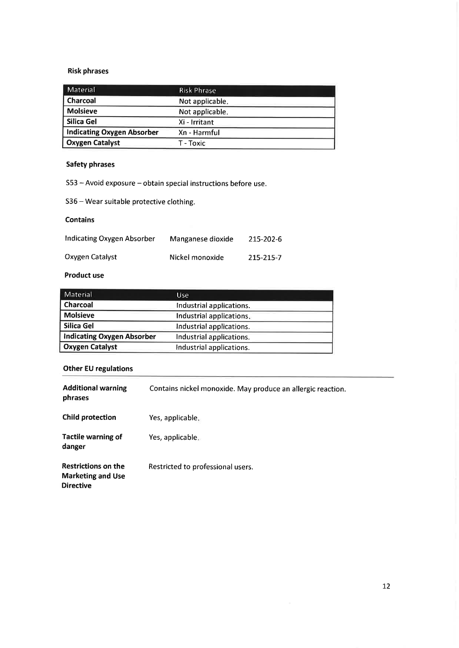### Risk phrases

| Material                          | <b>Risk Phrase</b> |
|-----------------------------------|--------------------|
| Charcoal                          | Not applicable.    |
| <b>Molsieve</b>                   | Not applicable.    |
| Silica Gel                        | Xi - Irritant      |
| <b>Indicating Oxygen Absorber</b> | Xn - Harmful       |
| <b>Oxygen Catalyst</b>            | T - Toxic          |

### Safety phrases

S53 - Avoid exposure - obtain special instructions before use.

<sup>536</sup>- Wear suitable protective clothing.

### Contains

| Indicating Oxygen Absorber | Manganese dioxide | 215-202-6 |
|----------------------------|-------------------|-----------|
| Oxygen Catalyst            | Nickel monoxide   | 215-215-7 |

### Product use

| Material                          | Use.                     |
|-----------------------------------|--------------------------|
| Charcoal                          | Industrial applications. |
| <b>Molsieve</b>                   | Industrial applications. |
| Silica Gel                        | Industrial applications. |
| <b>Indicating Oxygen Absorber</b> | Industrial applications. |
| <b>Oxygen Catalyst</b>            | Industrial applications. |

### Other EU regulations

| <b>Additional warning</b><br>phrases                                       | Contains nickel monoxide. May produce an allergic reaction. |
|----------------------------------------------------------------------------|-------------------------------------------------------------|
| <b>Child protection</b>                                                    | Yes, applicable.                                            |
| <b>Tactile warning of</b><br>danger                                        | Yes, applicable.                                            |
| <b>Restrictions on the</b><br><b>Marketing and Use</b><br><b>Directive</b> | Restricted to professional users.                           |